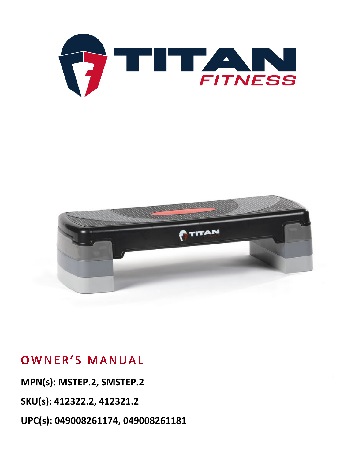



## OWNER'S MANUAL

**MPN(s): MSTEP.2, SMSTEP.2**

**SKU(s): 412322.2, 412321.2**

**UPC(s): 049008261174, 049008261181**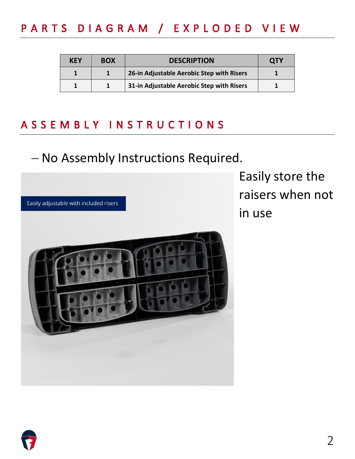# PARTS DIAGRAM / EXPLODED VIEW

| KEY | <b>BOX</b> | <b>DESCRIPTION</b>                        | <b>QTY</b> |
|-----|------------|-------------------------------------------|------------|
|     |            | 26-in Adjustable Aerobic Step with Risers |            |
|     |            | 31-in Adjustable Aerobic Step with Risers |            |

### ASSEMBLY INSTRUCTIONS

## − No Assembly Instructions Required.



Easily store the raisers when not in use